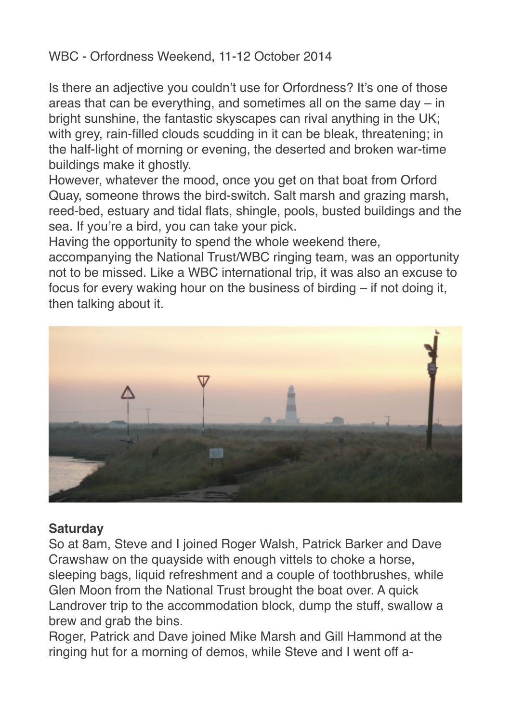## WBC - Orfordness Weekend, 11-12 October 2014

Is there an adjective you couldn't use for Orfordness? It's one of those areas that can be everything, and sometimes all on the same day – in bright sunshine, the fantastic skyscapes can rival anything in the UK; with grey, rain-filled clouds scudding in it can be bleak, threatening; in the half-light of morning or evening, the deserted and broken war-time buildings make it ghostly.

However, whatever the mood, once you get on that boat from Orford Quay, someone throws the bird-switch. Salt marsh and grazing marsh, reed-bed, estuary and tidal flats, shingle, pools, busted buildings and the sea. If you're a bird, you can take your pick.

Having the opportunity to spend the whole weekend there,

accompanying the National Trust/WBC ringing team, was an opportunity not to be missed. Like a WBC international trip, it was also an excuse to focus for every waking hour on the business of birding – if not doing it, then talking about it.



## **Saturday**

So at 8am, Steve and I joined Roger Walsh, Patrick Barker and Dave Crawshaw on the quayside with enough vittels to choke a horse, sleeping bags, liquid refreshment and a couple of toothbrushes, while Glen Moon from the National Trust brought the boat over. A quick Landrover trip to the accommodation block, dump the stuff, swallow a brew and grab the bins.

Roger, Patrick and Dave joined Mike Marsh and Gill Hammond at the ringing hut for a morning of demos, while Steve and I went off a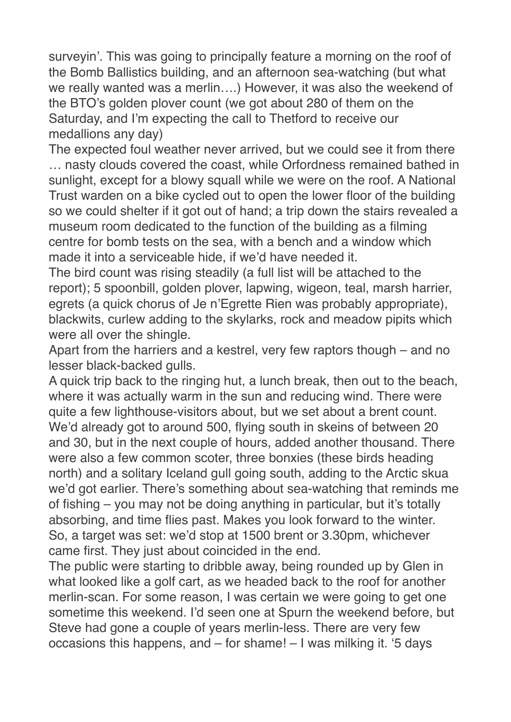surveyin'. This was going to principally feature a morning on the roof of the Bomb Ballistics building, and an afternoon sea-watching (but what we really wanted was a merlin….) However, it was also the weekend of the BTO's golden plover count (we got about 280 of them on the Saturday, and I'm expecting the call to Thetford to receive our medallions any day)

The expected foul weather never arrived, but we could see it from there … nasty clouds covered the coast, while Orfordness remained bathed in sunlight, except for a blowy squall while we were on the roof. A National Trust warden on a bike cycled out to open the lower floor of the building so we could shelter if it got out of hand; a trip down the stairs revealed a museum room dedicated to the function of the building as a filming centre for bomb tests on the sea, with a bench and a window which made it into a serviceable hide, if we'd have needed it.

The bird count was rising steadily (a full list will be attached to the report); 5 spoonbill, golden plover, lapwing, wigeon, teal, marsh harrier, egrets (a quick chorus of Je n'Egrette Rien was probably appropriate), blackwits, curlew adding to the skylarks, rock and meadow pipits which were all over the shingle.

Apart from the harriers and a kestrel, very few raptors though – and no lesser black-backed gulls.

A quick trip back to the ringing hut, a lunch break, then out to the beach, where it was actually warm in the sun and reducing wind. There were quite a few lighthouse-visitors about, but we set about a brent count. We'd already got to around 500, flying south in skeins of between 20 and 30, but in the next couple of hours, added another thousand. There were also a few common scoter, three bonxies (these birds heading north) and a solitary Iceland gull going south, adding to the Arctic skua we'd got earlier. There's something about sea-watching that reminds me of fishing – you may not be doing anything in particular, but it's totally absorbing, and time flies past. Makes you look forward to the winter. So, a target was set: we'd stop at 1500 brent or 3.30pm, whichever came first. They just about coincided in the end.

The public were starting to dribble away, being rounded up by Glen in what looked like a golf cart, as we headed back to the roof for another merlin-scan. For some reason, I was certain we were going to get one sometime this weekend. I'd seen one at Spurn the weekend before, but Steve had gone a couple of years merlin-less. There are very few occasions this happens, and – for shame! – I was milking it. '5 days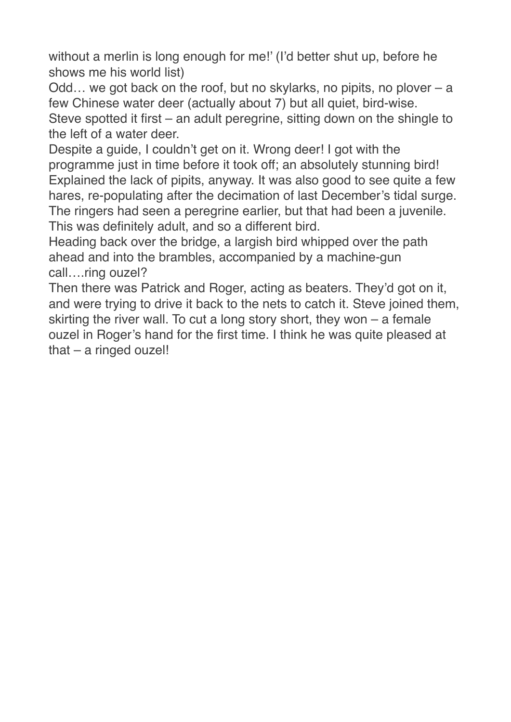without a merlin is long enough for me!' (I'd better shut up, before he shows me his world list)

Odd... we got back on the roof, but no skylarks, no pipits, no plover  $-$  a few Chinese water deer (actually about 7) but all quiet, bird-wise.

Steve spotted it first – an adult peregrine, sitting down on the shingle to the left of a water deer.

Despite a guide, I couldn't get on it. Wrong deer! I got with the programme just in time before it took off; an absolutely stunning bird! Explained the lack of pipits, anyway. It was also good to see quite a few hares, re-populating after the decimation of last December's tidal surge. The ringers had seen a peregrine earlier, but that had been a juvenile. This was definitely adult, and so a different bird.

Heading back over the bridge, a largish bird whipped over the path ahead and into the brambles, accompanied by a machine-gun call….ring ouzel?

Then there was Patrick and Roger, acting as beaters. They'd got on it, and were trying to drive it back to the nets to catch it. Steve joined them, skirting the river wall. To cut a long story short, they won – a female ouzel in Roger's hand for the first time. I think he was quite pleased at that – a ringed ouzel!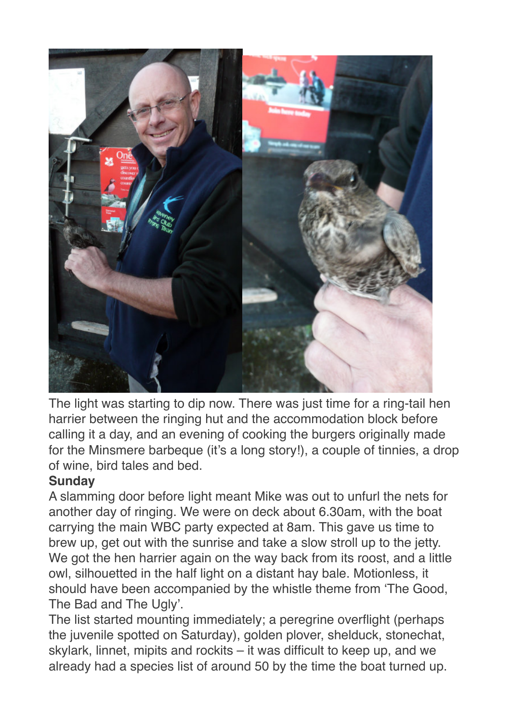

The light was starting to dip now. There was just time for a ring-tail hen harrier between the ringing hut and the accommodation block before calling it a day, and an evening of cooking the burgers originally made for the Minsmere barbeque (it's a long story!), a couple of tinnies, a drop of wine, bird tales and bed.

## **Sunday**

A slamming door before light meant Mike was out to unfurl the nets for another day of ringing. We were on deck about 6.30am, with the boat carrying the main WBC party expected at 8am. This gave us time to brew up, get out with the sunrise and take a slow stroll up to the jetty. We got the hen harrier again on the way back from its roost, and a little owl, silhouetted in the half light on a distant hay bale. Motionless, it should have been accompanied by the whistle theme from 'The Good, The Bad and The Ugly'.

The list started mounting immediately; a peregrine overflight (perhaps the juvenile spotted on Saturday), golden plover, shelduck, stonechat, skylark, linnet, mipits and rockits – it was difficult to keep up, and we already had a species list of around 50 by the time the boat turned up.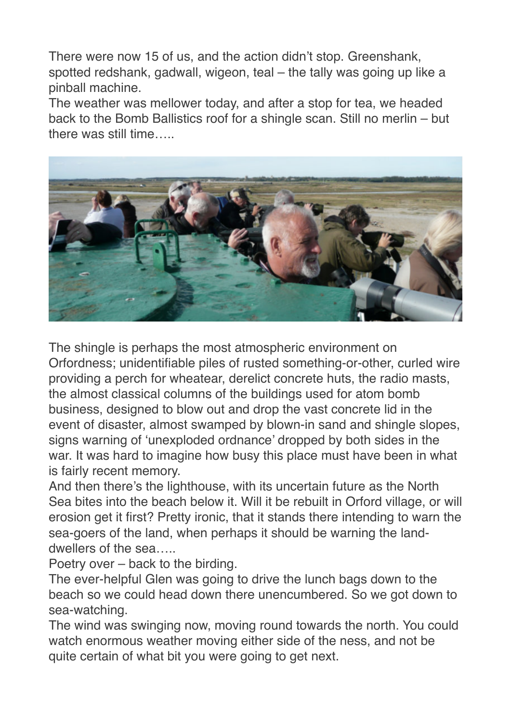There were now 15 of us, and the action didn't stop. Greenshank, spotted redshank, gadwall, wigeon, teal – the tally was going up like a pinball machine.

The weather was mellower today, and after a stop for tea, we headed back to the Bomb Ballistics roof for a shingle scan. Still no merlin – but there was still time…..



The shingle is perhaps the most atmospheric environment on Orfordness; unidentifiable piles of rusted something-or-other, curled wire providing a perch for wheatear, derelict concrete huts, the radio masts, the almost classical columns of the buildings used for atom bomb business, designed to blow out and drop the vast concrete lid in the event of disaster, almost swamped by blown-in sand and shingle slopes, signs warning of 'unexploded ordnance' dropped by both sides in the war. It was hard to imagine how busy this place must have been in what is fairly recent memory.

And then there's the lighthouse, with its uncertain future as the North Sea bites into the beach below it. Will it be rebuilt in Orford village, or will erosion get it first? Pretty ironic, that it stands there intending to warn the sea-goers of the land, when perhaps it should be warning the landdwellers of the sea…..

Poetry over – back to the birding.

The ever-helpful Glen was going to drive the lunch bags down to the beach so we could head down there unencumbered. So we got down to sea-watching.

The wind was swinging now, moving round towards the north. You could watch enormous weather moving either side of the ness, and not be quite certain of what bit you were going to get next.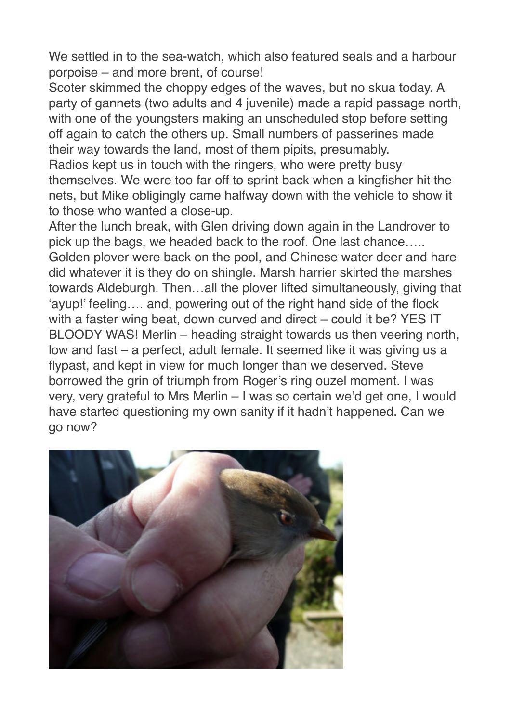We settled in to the sea-watch, which also featured seals and a harbour porpoise – and more brent, of course!

Scoter skimmed the choppy edges of the waves, but no skua today. A party of gannets (two adults and 4 juvenile) made a rapid passage north, with one of the youngsters making an unscheduled stop before setting off again to catch the others up. Small numbers of passerines made their way towards the land, most of them pipits, presumably.

Radios kept us in touch with the ringers, who were pretty busy themselves. We were too far off to sprint back when a kingfisher hit the nets, but Mike obligingly came halfway down with the vehicle to show it to those who wanted a close-up.

After the lunch break, with Glen driving down again in the Landrover to pick up the bags, we headed back to the roof. One last chance….. Golden plover were back on the pool, and Chinese water deer and hare did whatever it is they do on shingle. Marsh harrier skirted the marshes towards Aldeburgh. Then…all the plover lifted simultaneously, giving that 'ayup!' feeling…. and, powering out of the right hand side of the flock with a faster wing beat, down curved and direct – could it be? YES IT BLOODY WAS! Merlin – heading straight towards us then veering north, low and fast – a perfect, adult female. It seemed like it was giving us a flypast, and kept in view for much longer than we deserved. Steve borrowed the grin of triumph from Roger's ring ouzel moment. I was very, very grateful to Mrs Merlin – I was so certain we'd get one, I would have started questioning my own sanity if it hadn't happened. Can we go now?